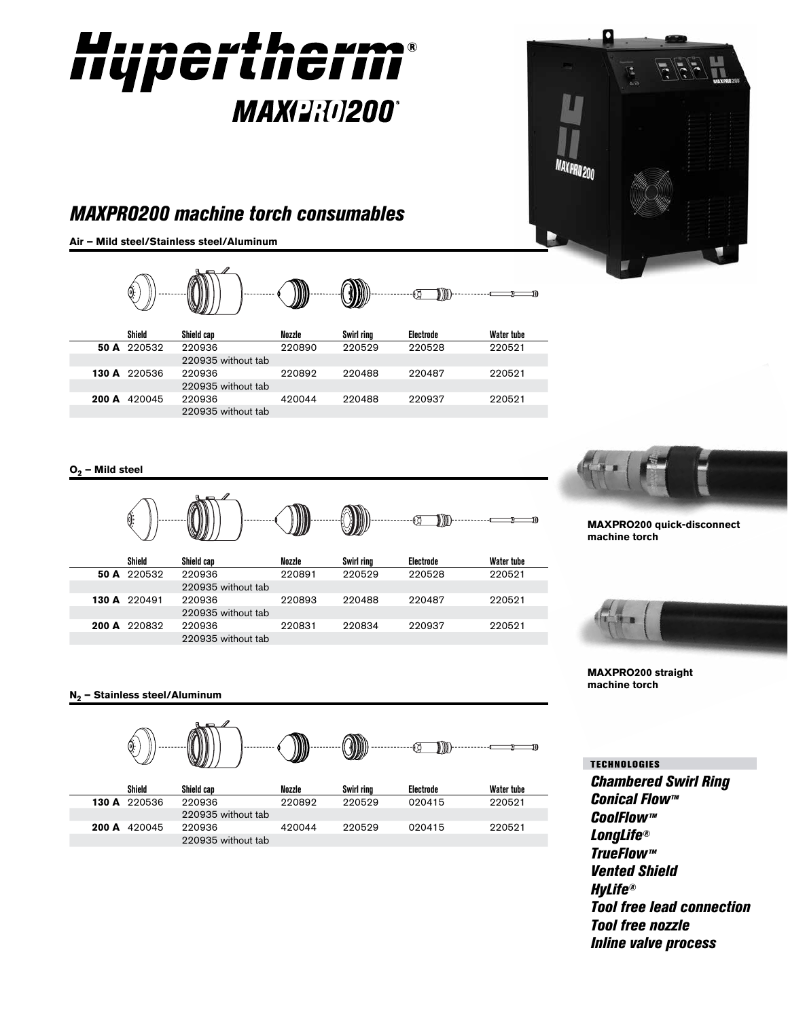



**Air – Mild steel/Stainless steel/Aluminum** 420066 420044



| Shield       | Shield can         | Nozzle | Swirl ring | Electrode | Water tube |
|--------------|--------------------|--------|------------|-----------|------------|
| 50 A 220532  | 220936             | 220890 | 220529     | 220528    | 220521     |
|              | 220935 without tab |        |            |           |            |
| 130 A 220536 | 220936             | 220892 | 220488     | 220487    | 220521     |
|              | 220935 without tab |        |            |           |            |
| 200 A 420045 | 220936             | 420044 | 220488     | 220937    | 220521     |
|              | 220935 without tab |        |            |           |            |

**O2 – Mild steel**





**MAXPRO200 quick-disconnect machine torch**



**MAXPRO200 straight machine torch**

**N2 – Stainless steel/Aluminum**



*Chambered Swirl Ring Conical Flow™ CoolFlow™ LongLife® TrueFlow™ Vented Shield HyLife® Tool free lead connection Tool free nozzle Inline valve process* TECHNOLOGIES